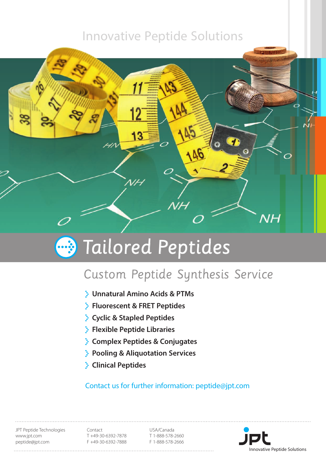### Innovative Peptide Solutions



# **B** Tailored Peptides

## Custom Peptide Synthesis Service

- **Unnatural Amino Acids & PTMs**
- **Fluorescent & FRET Peptides**
- **Cyclic & Stapled Peptides**
- **Flexible Peptide Libraries**
- **Complex Peptides & Conjugates**
- **Pooling & Aliquotation Services**
- **Clinical Peptides**

### Contact us for further information: peptide@jpt.com

JPT Peptide Technologies www.jpt.com peptide@jpt.com

Contact T +49-30-6392-7878 F +49-30-6392-7888

USA/Canada T 1-888-578-2660 F 1-888-578-2666